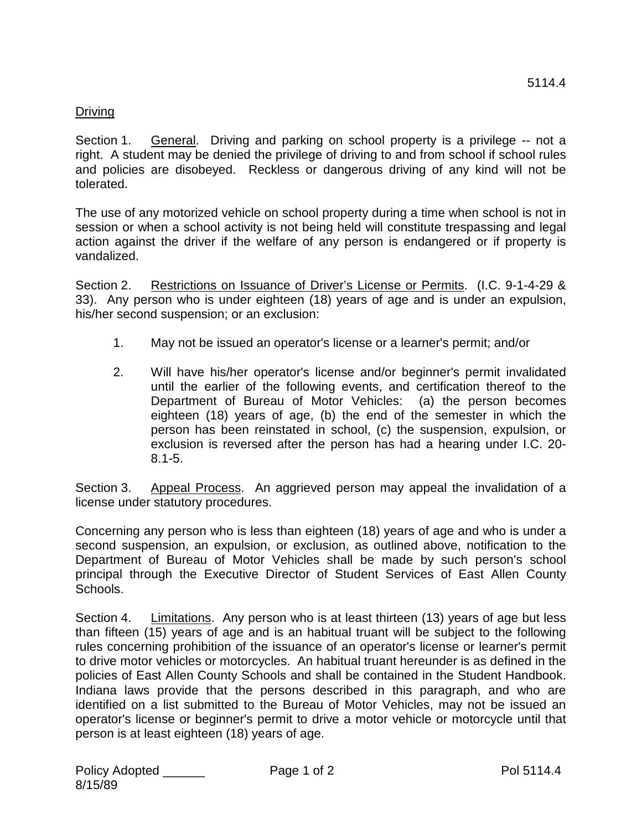## Driving

Section 1. General. Driving and parking on school property is a privilege -- not a right. A student may be denied the privilege of driving to and from school if school rules and policies are disobeyed. Reckless or dangerous driving of any kind will not be tolerated.

The use of any motorized vehicle on school property during a time when school is not in session or when a school activity is not being held will constitute trespassing and legal action against the driver if the welfare of any person is endangered or if property is vandalized.

Section 2. Restrictions on Issuance of Driver's License or Permits. (I.C. 9-1-4-29 & 33). Any person who is under eighteen (18) years of age and is under an expulsion, his/her second suspension; or an exclusion:

- 1. May not be issued an operator's license or a learner's permit; and/or
- 2. Will have his/her operator's license and/or beginner's permit invalidated until the earlier of the following events, and certification thereof to the Department of Bureau of Motor Vehicles: (a) the person becomes eighteen (18) years of age, (b) the end of the semester in which the person has been reinstated in school, (c) the suspension, expulsion, or exclusion is reversed after the person has had a hearing under I.C. 20- 8.1-5.

Section 3. Appeal Process. An aggrieved person may appeal the invalidation of a license under statutory procedures.

Concerning any person who is less than eighteen (18) years of age and who is under a second suspension, an expulsion, or exclusion, as outlined above, notification to the Department of Bureau of Motor Vehicles shall be made by such person's school principal through the Executive Director of Student Services of East Allen County Schools.

Section 4. Limitations. Any person who is at least thirteen (13) years of age but less than fifteen (15) years of age and is an habitual truant will be subject to the following rules concerning prohibition of the issuance of an operator's license or learner's permit to drive motor vehicles or motorcycles. An habitual truant hereunder is as defined in the policies of East Allen County Schools and shall be contained in the Student Handbook. Indiana laws provide that the persons described in this paragraph, and who are identified on a list submitted to the Bureau of Motor Vehicles, may not be issued an operator's license or beginner's permit to drive a motor vehicle or motorcycle until that person is at least eighteen (18) years of age.